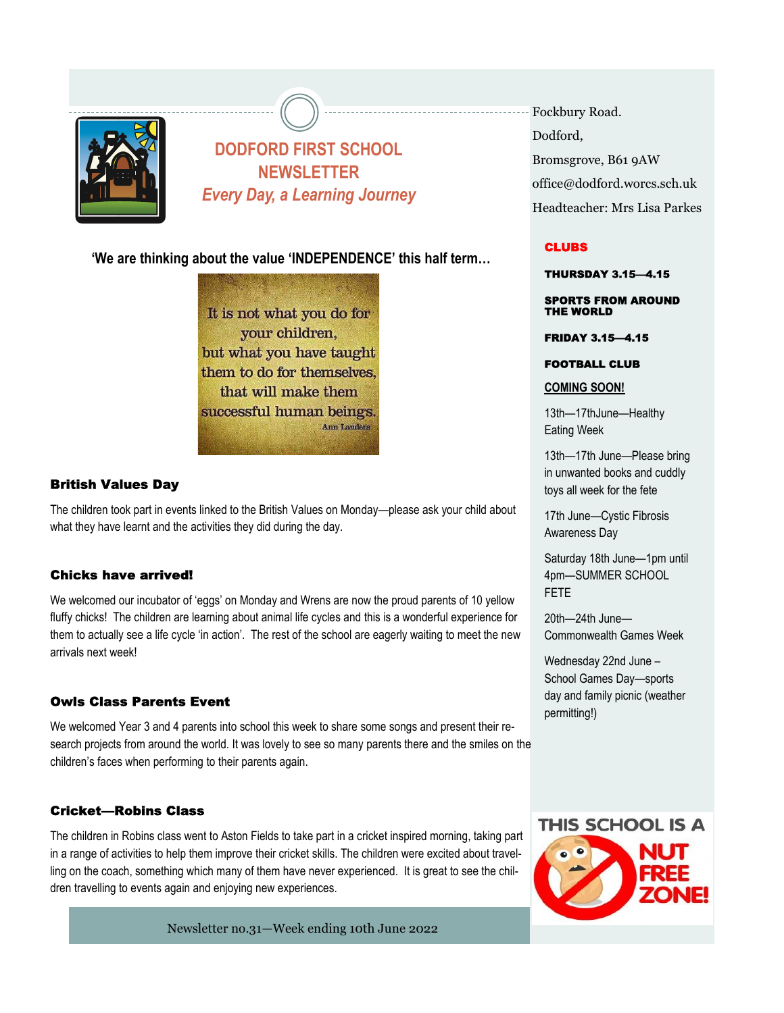

# DODFORD FIRST SCHOOL NEWSLETTER Every Day, a Learning Journey

'We are thinking about the value 'INDEPENDENCE' this half term…

It is not what you do for your children, but what you have taught them to do for themselves. that will make them successful human beings. **Ann Landers** 

## **British Values Day**

The children took part in events linked to the British Values on Monday—please ask your child about what they have learnt and the activities they did during the day.

### Chicks have arrived!

We welcomed our incubator of 'eggs' on Monday and Wrens are now the proud parents of 10 yellow fluffy chicks! The children are learning about animal life cycles and this is a wonderful experience for them to actually see a life cycle 'in action'. The rest of the school are eagerly waiting to meet the new arrivals next week!

### **Owls Class Parents Event**

We welcomed Year 3 and 4 parents into school this week to share some songs and present their research projects from around the world. It was lovely to see so many parents there and the smiles on the children's faces when performing to their parents again.

### Cricket-Robins Class

The children in Robins class went to Aston Fields to take part in a cricket inspired morning, taking part in a range of activities to help them improve their cricket skills. The children were excited about travelling on the coach, something which many of them have never experienced. It is great to see the children travelling to events again and enjoying new experiences.

Newsletter no.31-Week ending 10th June 2022

Fockbury Road. Dodford. Bromsgrove, B61 9AW office@dodford.worcs.sch.uk Headteacher: Mrs Lisa Parkes

### **CLUBS**

**THURSDAY 3.15-4.15** 

**SPORTS FROM AROUND** THE WORLD

**FRIDAY 3.15-4.15** 

**FOOTBALL CLUB** 

COMING SOON!

13th—17thJune—Healthy Eating Week

13th—17th June—Please bring in unwanted books and cuddly toys all week for the fete

17th June—Cystic Fibrosis Awareness Day

Saturday 18th June—1pm until 4pm—SUMMER SCHOOL FETE

20th—24th June— Commonwealth Games Week

Wednesday 22nd June – School Games Day—sports day and family picnic (weather permitting!)

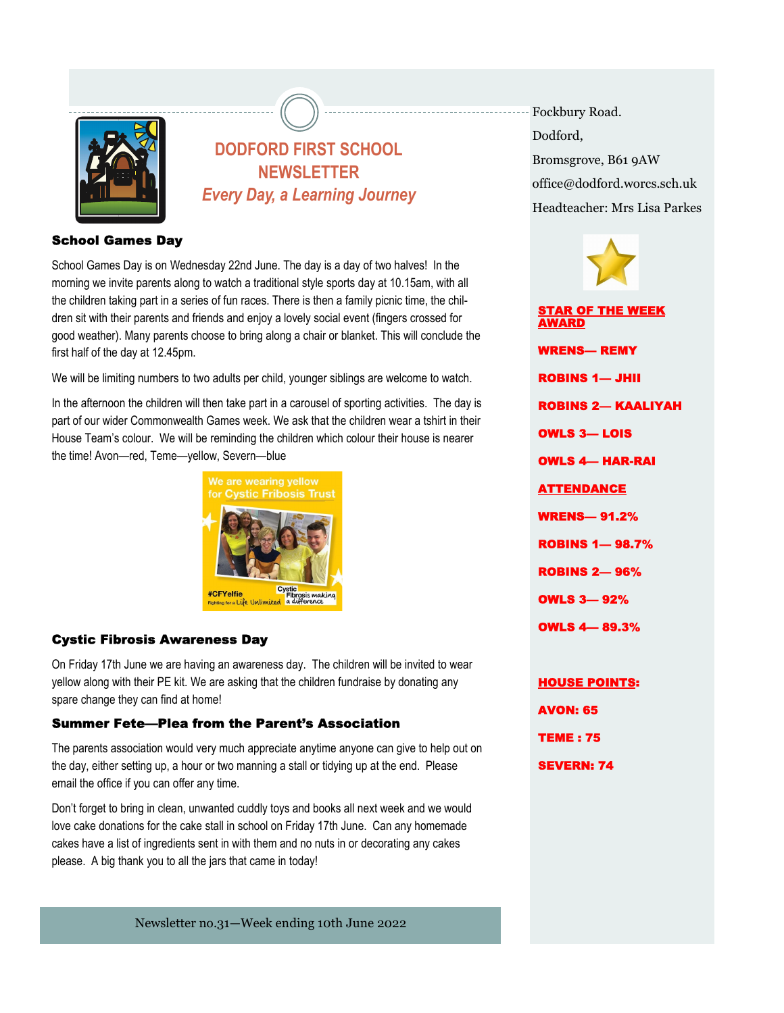

# DODFORD FIRST SCHOOL NEWSLETTER Every Day, a Learning Journey

### **School Games Day**

School Games Day is on Wednesday 22nd June. The day is a day of two halves! In the morning we invite parents along to watch a traditional style sports day at 10.15am, with all the children taking part in a series of fun races. There is then a family picnic time, the children sit with their parents and friends and enjoy a lovely social event (fingers crossed for good weather). Many parents choose to bring along a chair or blanket. This will conclude the first half of the day at 12.45pm.

We will be limiting numbers to two adults per child, younger siblings are welcome to watch.

 In the afternoon the children will then take part in a carousel of sporting activities. The day is part of our wider Commonwealth Games week. We ask that the children wear a tshirt in their the time! Avon—red, Teme—yellow, Severn—blue House Team's colour. We will be reminding the children which colour their house is nearer



### **Cystic Fibrosis Awareness Day**

On Friday 17th June we are having an awareness day. The children will be invited to wear yellow along with their PE kit. We are asking that the children fundraise by donating any spare change they can find at home!

#### **Summer Fete—Plea from the Parent's Association**

The parents association would very much appreciate anytime anyone can give to help out on the day, either setting up, a hour or two manning a stall or tidying up at the end. Please email the office if you can offer any time.

Don't forget to bring in clean, unwanted cuddly toys and books all next week and we would love cake donations for the cake stall in school on Friday 17th June. Can any homemade cakes have a list of ingredients sent in with them and no nuts in or decorating any cakes please. A big thank you to all the jars that came in today!

Newsletter no.31-Week ending 10th June 2022

Fockbury Road. Dodford. Bromsgrove, B61 9AW office@dodford.worcs.sch.uk Headteacher: Mrs Lisa Parkes



**TEME: 75** 

**SEVERN: 74**